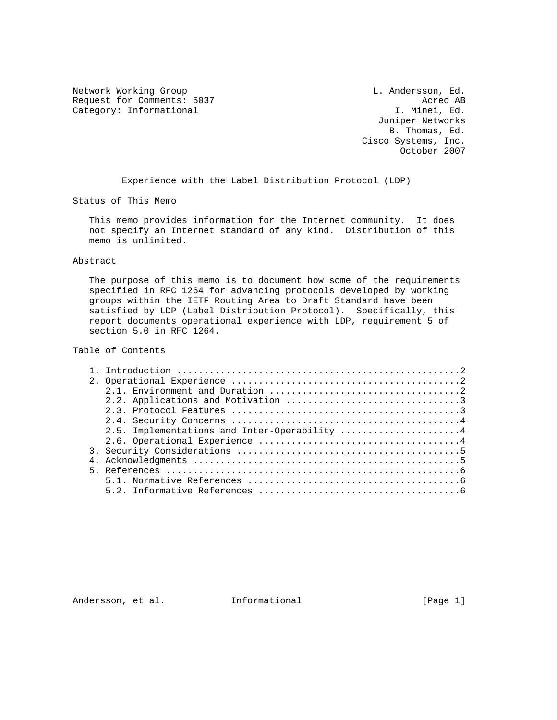Network Working Group and the control of the L. Andersson, Ed. Request for Comments: 5037 <br>Category: Informational and the category: Informational and the category: Informational and the category: The c Category: Informational

 Juniper Networks B. Thomas, Ed. Cisco Systems, Inc. October 2007

Experience with the Label Distribution Protocol (LDP)

Status of This Memo

 This memo provides information for the Internet community. It does not specify an Internet standard of any kind. Distribution of this memo is unlimited.

### Abstract

The purpose of this memo is to document how some of the requirements specified in RFC 1264 for advancing protocols developed by working groups within the IETF Routing Area to Draft Standard have been satisfied by LDP (Label Distribution Protocol). Specifically, this report documents operational experience with LDP, requirement 5 of section 5.0 in RFC 1264.

# Table of Contents

|  | 2.5. Implementations and Inter-Operability 4 |
|--|----------------------------------------------|
|  |                                              |
|  |                                              |
|  |                                              |
|  |                                              |
|  |                                              |
|  |                                              |
|  |                                              |

Andersson, et al. Informational [Page 1]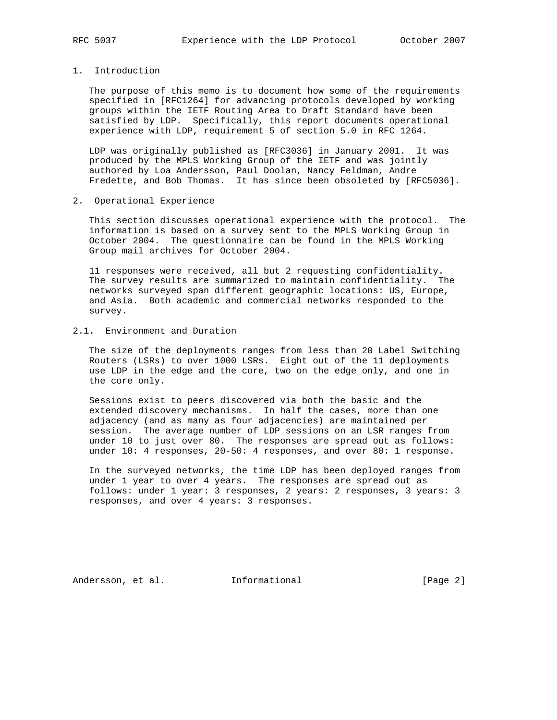## 1. Introduction

The purpose of this memo is to document how some of the requirements specified in [RFC1264] for advancing protocols developed by working groups within the IETF Routing Area to Draft Standard have been satisfied by LDP. Specifically, this report documents operational experience with LDP, requirement 5 of section 5.0 in RFC 1264.

 LDP was originally published as [RFC3036] in January 2001. It was produced by the MPLS Working Group of the IETF and was jointly authored by Loa Andersson, Paul Doolan, Nancy Feldman, Andre Fredette, and Bob Thomas. It has since been obsoleted by [RFC5036].

2. Operational Experience

 This section discusses operational experience with the protocol. The information is based on a survey sent to the MPLS Working Group in October 2004. The questionnaire can be found in the MPLS Working Group mail archives for October 2004.

 11 responses were received, all but 2 requesting confidentiality. The survey results are summarized to maintain confidentiality. The networks surveyed span different geographic locations: US, Europe, and Asia. Both academic and commercial networks responded to the survey.

## 2.1. Environment and Duration

 The size of the deployments ranges from less than 20 Label Switching Routers (LSRs) to over 1000 LSRs. Eight out of the 11 deployments use LDP in the edge and the core, two on the edge only, and one in the core only.

 Sessions exist to peers discovered via both the basic and the extended discovery mechanisms. In half the cases, more than one adjacency (and as many as four adjacencies) are maintained per session. The average number of LDP sessions on an LSR ranges from under 10 to just over 80. The responses are spread out as follows: under 10: 4 responses, 20-50: 4 responses, and over 80: 1 response.

 In the surveyed networks, the time LDP has been deployed ranges from under 1 year to over 4 years. The responses are spread out as follows: under 1 year: 3 responses, 2 years: 2 responses, 3 years: 3 responses, and over 4 years: 3 responses.

Andersson, et al. 1nformational [Page 2]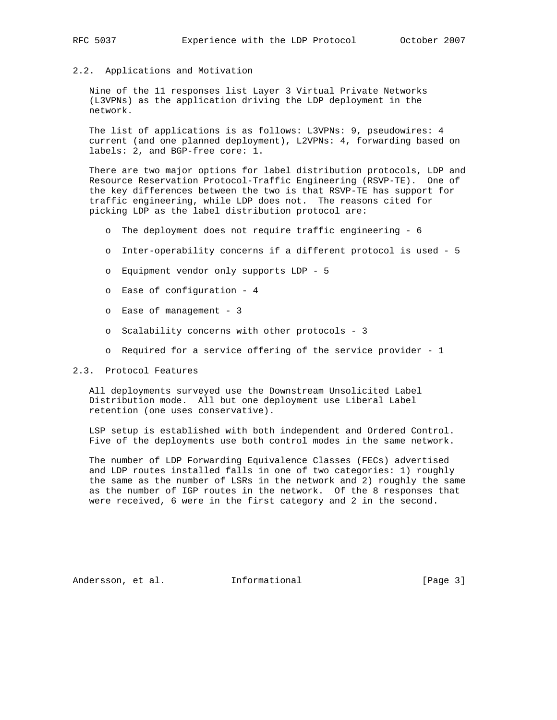### 2.2. Applications and Motivation

 Nine of the 11 responses list Layer 3 Virtual Private Networks (L3VPNs) as the application driving the LDP deployment in the network.

 The list of applications is as follows: L3VPNs: 9, pseudowires: 4 current (and one planned deployment), L2VPNs: 4, forwarding based on labels: 2, and BGP-free core: 1.

 There are two major options for label distribution protocols, LDP and Resource Reservation Protocol-Traffic Engineering (RSVP-TE). One of the key differences between the two is that RSVP-TE has support for traffic engineering, while LDP does not. The reasons cited for picking LDP as the label distribution protocol are:

- o The deployment does not require traffic engineering 6
- o Inter-operability concerns if a different protocol is used 5
- o Equipment vendor only supports LDP 5
- o Ease of configuration 4
- o Ease of management 3
- o Scalability concerns with other protocols 3
- o Required for a service offering of the service provider 1

## 2.3. Protocol Features

 All deployments surveyed use the Downstream Unsolicited Label Distribution mode. All but one deployment use Liberal Label retention (one uses conservative).

 LSP setup is established with both independent and Ordered Control. Five of the deployments use both control modes in the same network.

 The number of LDP Forwarding Equivalence Classes (FECs) advertised and LDP routes installed falls in one of two categories: 1) roughly the same as the number of LSRs in the network and 2) roughly the same as the number of IGP routes in the network. Of the 8 responses that were received, 6 were in the first category and 2 in the second.

Andersson, et al. Informational [Page 3]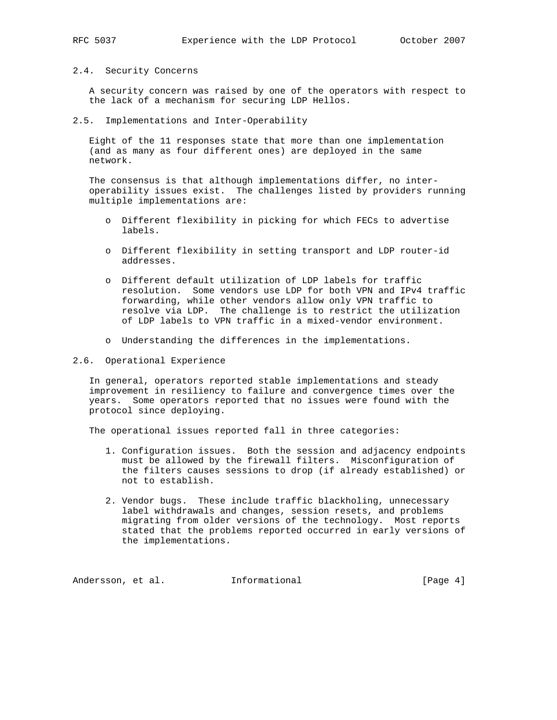#### 2.4. Security Concerns

 A security concern was raised by one of the operators with respect to the lack of a mechanism for securing LDP Hellos.

2.5. Implementations and Inter-Operability

 Eight of the 11 responses state that more than one implementation (and as many as four different ones) are deployed in the same network.

 The consensus is that although implementations differ, no inter operability issues exist. The challenges listed by providers running multiple implementations are:

- o Different flexibility in picking for which FECs to advertise labels.
- o Different flexibility in setting transport and LDP router-id addresses.
- o Different default utilization of LDP labels for traffic resolution. Some vendors use LDP for both VPN and IPv4 traffic forwarding, while other vendors allow only VPN traffic to resolve via LDP. The challenge is to restrict the utilization of LDP labels to VPN traffic in a mixed-vendor environment.
- o Understanding the differences in the implementations.
- 2.6. Operational Experience

 In general, operators reported stable implementations and steady improvement in resiliency to failure and convergence times over the years. Some operators reported that no issues were found with the protocol since deploying.

The operational issues reported fall in three categories:

- 1. Configuration issues. Both the session and adjacency endpoints must be allowed by the firewall filters. Misconfiguration of the filters causes sessions to drop (if already established) or not to establish.
- 2. Vendor bugs. These include traffic blackholing, unnecessary label withdrawals and changes, session resets, and problems migrating from older versions of the technology. Most reports stated that the problems reported occurred in early versions of the implementations.

Andersson, et al. 1nformational [Page 4]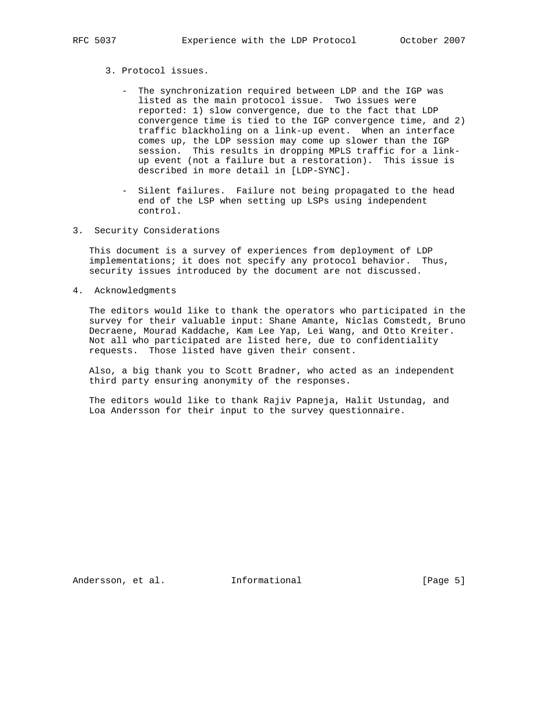- 3. Protocol issues.
	- The synchronization required between LDP and the IGP was listed as the main protocol issue. Two issues were reported: 1) slow convergence, due to the fact that LDP convergence time is tied to the IGP convergence time, and 2) traffic blackholing on a link-up event. When an interface comes up, the LDP session may come up slower than the IGP session. This results in dropping MPLS traffic for a link up event (not a failure but a restoration). This issue is described in more detail in [LDP-SYNC].
	- Silent failures. Failure not being propagated to the head end of the LSP when setting up LSPs using independent control.
- 3. Security Considerations

 This document is a survey of experiences from deployment of LDP implementations; it does not specify any protocol behavior. Thus, security issues introduced by the document are not discussed.

4. Acknowledgments

 The editors would like to thank the operators who participated in the survey for their valuable input: Shane Amante, Niclas Comstedt, Bruno Decraene, Mourad Kaddache, Kam Lee Yap, Lei Wang, and Otto Kreiter. Not all who participated are listed here, due to confidentiality requests. Those listed have given their consent.

 Also, a big thank you to Scott Bradner, who acted as an independent third party ensuring anonymity of the responses.

 The editors would like to thank Rajiv Papneja, Halit Ustundag, and Loa Andersson for their input to the survey questionnaire.

Andersson, et al. 1nformational [Page 5]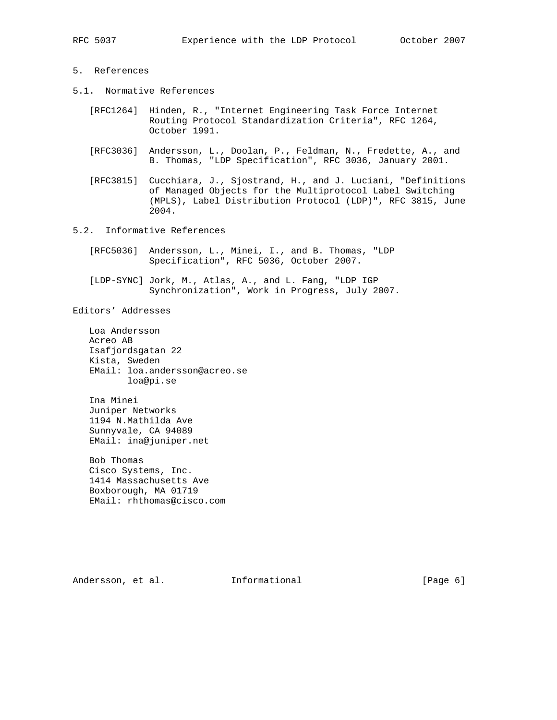## 5. References

- 5.1. Normative References
	- [RFC1264] Hinden, R., "Internet Engineering Task Force Internet Routing Protocol Standardization Criteria", RFC 1264, October 1991.
	- [RFC3036] Andersson, L., Doolan, P., Feldman, N., Fredette, A., and B. Thomas, "LDP Specification", RFC 3036, January 2001.
	- [RFC3815] Cucchiara, J., Sjostrand, H., and J. Luciani, "Definitions of Managed Objects for the Multiprotocol Label Switching (MPLS), Label Distribution Protocol (LDP)", RFC 3815, June 2004.
- 5.2. Informative References
	- [RFC5036] Andersson, L., Minei, I., and B. Thomas, "LDP Specification", RFC 5036, October 2007.
	- [LDP-SYNC] Jork, M., Atlas, A., and L. Fang, "LDP IGP Synchronization", Work in Progress, July 2007.

Editors' Addresses

 Loa Andersson Acreo AB Isafjordsgatan 22 Kista, Sweden EMail: loa.andersson@acreo.se loa@pi.se

 Ina Minei Juniper Networks 1194 N.Mathilda Ave Sunnyvale, CA 94089 EMail: ina@juniper.net

 Bob Thomas Cisco Systems, Inc. 1414 Massachusetts Ave Boxborough, MA 01719 EMail: rhthomas@cisco.com

Andersson, et al. 1nformational [Page 6]